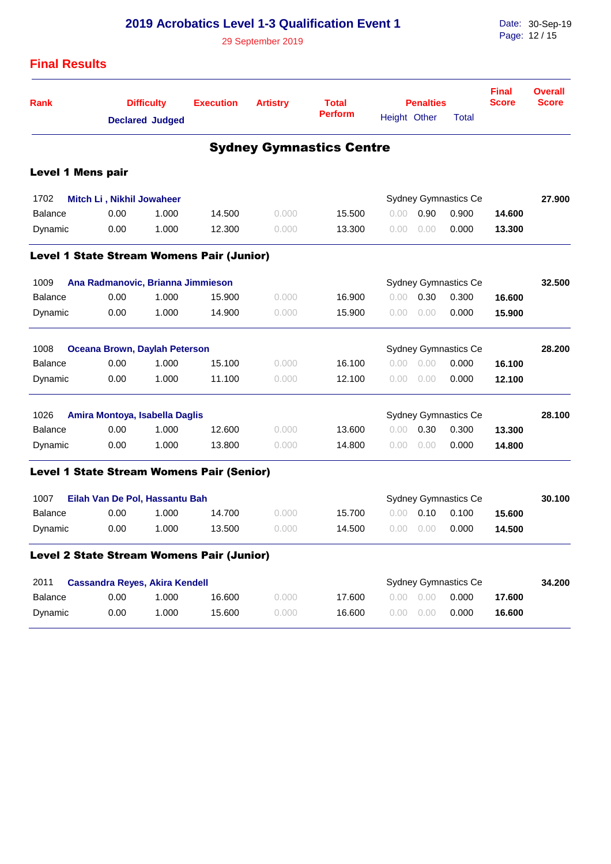|                          | <b>2019 Acrobatics Level 1-3 Qualification Event 1</b> |                        |                                                  |                 |                                 |              |                  |                      | Date: 30-Sep-19              |                                |  |
|--------------------------|--------------------------------------------------------|------------------------|--------------------------------------------------|-----------------|---------------------------------|--------------|------------------|----------------------|------------------------------|--------------------------------|--|
|                          | 29 September 2019                                      |                        |                                                  |                 |                                 |              |                  |                      | Page: 12/15                  |                                |  |
| <b>Final Results</b>     |                                                        |                        |                                                  |                 |                                 |              |                  |                      |                              |                                |  |
| Rank                     |                                                        | <b>Difficulty</b>      | <b>Execution</b>                                 | <b>Artistry</b> | <b>Total</b>                    |              | <b>Penalties</b> |                      | <b>Final</b><br><b>Score</b> | <b>Overall</b><br><b>Score</b> |  |
|                          |                                                        | <b>Declared Judged</b> |                                                  |                 | <b>Perform</b>                  | Height Other |                  | <b>Total</b>         |                              |                                |  |
|                          |                                                        |                        |                                                  |                 | <b>Sydney Gymnastics Centre</b> |              |                  |                      |                              |                                |  |
| <b>Level 1 Mens pair</b> |                                                        |                        |                                                  |                 |                                 |              |                  |                      |                              |                                |  |
| 1702                     | Mitch Li, Nikhil Jowaheer                              |                        |                                                  |                 |                                 |              |                  | Sydney Gymnastics Ce |                              | 27.900                         |  |
| <b>Balance</b>           | 0.00                                                   | 1.000                  | 14.500                                           | 0.000           | 15.500                          | 0.00         | 0.90             | 0.900                | 14.600                       |                                |  |
| Dynamic                  | 0.00                                                   | 1.000                  | 12.300                                           | 0.000           | 13.300                          | 0.00         | 0.00             | 0.000                | 13.300                       |                                |  |
|                          |                                                        |                        | <b>Level 1 State Stream Womens Pair (Junior)</b> |                 |                                 |              |                  |                      |                              |                                |  |
| 1009                     | Ana Radmanovic, Brianna Jimmieson                      |                        |                                                  |                 | Sydney Gymnastics Ce            |              | 32.500           |                      |                              |                                |  |
| <b>Balance</b>           | 0.00                                                   | 1.000                  | 15.900                                           | 0.000           | 16.900                          | 0.00         | 0.30             | 0.300                | 16.600                       |                                |  |
| Dynamic                  | 0.00                                                   | 1.000                  | 14.900                                           | 0.000           | 15.900                          | 0.00         | 0.00             | 0.000                | 15.900                       |                                |  |
| 1008                     | <b>Oceana Brown, Daylah Peterson</b>                   |                        |                                                  |                 |                                 |              |                  | Sydney Gymnastics Ce |                              | 28.200                         |  |
| <b>Balance</b>           | 0.00                                                   | 1.000                  | 15.100                                           | 0.000           | 16.100                          | 0.00         | 0.00             | 0.000                | 16.100                       |                                |  |
| Dynamic                  | 0.00                                                   | 1.000                  | 11.100                                           | 0.000           | 12.100                          | 0.00         | 0.00             | 0.000                | 12.100                       |                                |  |
| 1026                     | Sydney Gymnastics Ce<br>Amira Montoya, Isabella Daglis |                        |                                                  |                 |                                 |              |                  |                      |                              | 28.100                         |  |
| <b>Balance</b>           | 0.00                                                   | 1.000                  | 12.600                                           | 0.000           | 13.600                          | 0.00         | 0.30             | 0.300                | 13,300                       |                                |  |
| Dynamic                  | 0.00                                                   | 1.000                  | 13.800                                           | 0.000           | 14.800                          | 0.00         | 0.00             | 0.000                | 14.800                       |                                |  |
|                          |                                                        |                        | <b>Level 1 State Stream Womens Pair (Senior)</b> |                 |                                 |              |                  |                      |                              |                                |  |
| 1007                     | Eilah Van De Pol, Hassantu Bah                         |                        |                                                  |                 |                                 |              |                  | Sydney Gymnastics Ce |                              | 30.100                         |  |
| Balance                  | 0.00                                                   | 1.000                  | 14.700                                           | 0.000           | 15.700                          |              | $0.00$ 0.10      | 0.100                | 15.600                       |                                |  |
| Dynamic                  | 0.00                                                   | 1.000                  | 13.500                                           | 0.000           | 14.500                          | 0.00         | 0.00             | 0.000                | 14.500                       |                                |  |
|                          |                                                        |                        | Level 2 State Stream Womens Pair (Junior)        |                 |                                 |              |                  |                      |                              |                                |  |
| 2011                     | <b>Cassandra Reyes, Akira Kendell</b>                  |                        |                                                  |                 | <b>Sydney Gymnastics Ce</b>     |              |                  |                      |                              | 34.200                         |  |
| <b>Balance</b>           | 0.00                                                   | 1.000                  | 16.600                                           | 0.000           | 17.600                          | 0.00         | 0.00             | 0.000                | 17.600                       |                                |  |
| Dynamic                  | 0.00                                                   | 1.000                  | 15.600                                           | 0.000           | 16.600                          | 0.00         | 0.00             | 0.000                | 16.600                       |                                |  |